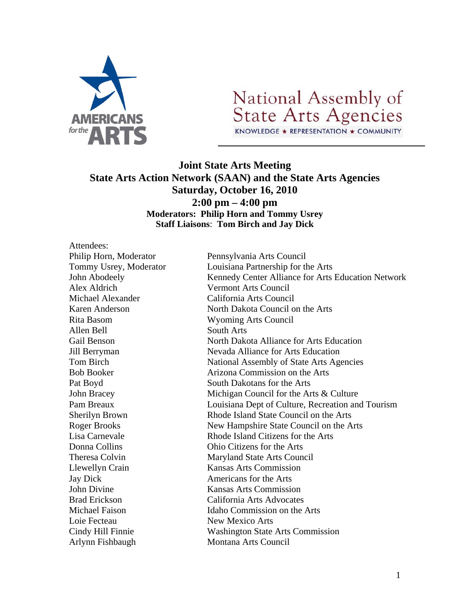

## National Assembly of **State Arts Agencies** KNOWLEDGE ★ REPRESENTATION ★ COMMUNITY

## **Joint State Arts Meeting State Arts Action Network (SAAN) and the State Arts Agencies Saturday, October 16, 2010 2:00 pm – 4:00 pm Moderators: Philip Horn and Tommy Usrey Staff Liaisons**: **Tom Birch and Jay Dick**

Attendees: Alex Aldrich Vermont Arts Council Michael Alexander California Arts Council Rita Basom Wyoming Arts Council Allen Bell South Arts Jay Dick Americans for the Arts Loie Fecteau New Mexico Arts

Philip Horn, Moderator Pennsylvania Arts Council Tommy Usrey, Moderator Louisiana Partnership for the Arts John Abodeely Kennedy Center Alliance for Arts Education Network Karen Anderson North Dakota Council on the Arts Gail BensonNorth Dakota Alliance for Arts Education Jill Berryman Nevada Alliance for Arts Education Tom Birch National Assembly of State Arts Agencies Bob Booker Arizona Commission on the Arts Pat Boyd South Dakotans for the Arts John Bracey Michigan Council for the Arts & Culture Pam Breaux Louisiana Dept of Culture, Recreation and Tourism Sherilyn Brown Rhode Island State Council on the Arts Roger Brooks New Hampshire State Council on the Arts Lisa Carnevale Rhode Island Citizens for the Arts Donna Collins Ohio Citizens for the Arts Theresa Colvin Maryland State Arts Council Llewellyn Crain Kansas Arts Commission John Divine Kansas Arts Commission Brad Erickson California Arts Advocates Michael Faison Idaho Commission on the Arts Cindy Hill Finnie Washington State Arts Commission Arlynn Fishbaugh Montana Arts Council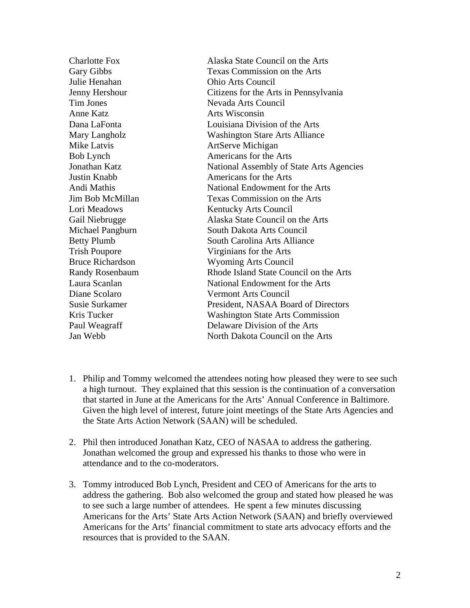Charlotte Fox Alaska State Council on the Arts Gary Gibbs Texas Commission on the Arts Julie Henahan Ohio Arts Council Jenny Hershour Citizens for the Arts in Pennsylvania Tim Jones Nevada Arts Council Anne Katz **Arts** Wisconsin Dana LaFonta Louisiana Division of the Arts Mary Langholz Washington Stare Arts Alliance Mike Latvis **ArtServe Michigan** Bob Lynch Americans for the Arts Jonathan Katz National Assembly of State Arts Agencies Justin Knabb Americans for the Arts Andi Mathis National Endowment for the Arts Jim Bob McMillan Texas Commission on the Arts Lori Meadows Kentucky Arts Council Gail Niebrugge Alaska State Council on the Arts Michael Pangburn South Dakota Arts Council Betty Plumb South Carolina Arts Alliance Trish Poupore Virginians for the Arts Bruce Richardson Wyoming Arts Council Randy Rosenbaum Rhode Island State Council on the Arts Laura Scanlan National Endowment for the Arts Diane Scolaro Vermont Arts Council Susie Surkamer President, NASAA Board of Directors Kris Tucker Washington State Arts Commission Paul Weagraff Delaware Division of the Arts Jan Webb North Dakota Council on the Arts

- 1. Philip and Tommy welcomed the attendees noting how pleased they were to see such a high turnout. They explained that this session is the continuation of a conversation that started in June at the Americans for the Arts' Annual Conference in Baltimore. Given the high level of interest, future joint meetings of the State Arts Agencies and the State Arts Action Network (SAAN) will be scheduled.
- 2. Phil then introduced Jonathan Katz, CEO of NASAA to address the gathering. Jonathan welcomed the group and expressed his thanks to those who were in attendance and to the co-moderators.
- 3. Tommy introduced Bob Lynch, President and CEO of Americans for the arts to address the gathering. Bob also welcomed the group and stated how pleased he was to see such a large number of attendees. He spent a few minutes discussing Americans for the Arts' State Arts Action Network (SAAN) and briefly overviewed Americans for the Arts' financial commitment to state arts advocacy efforts and the resources that is provided to the SAAN.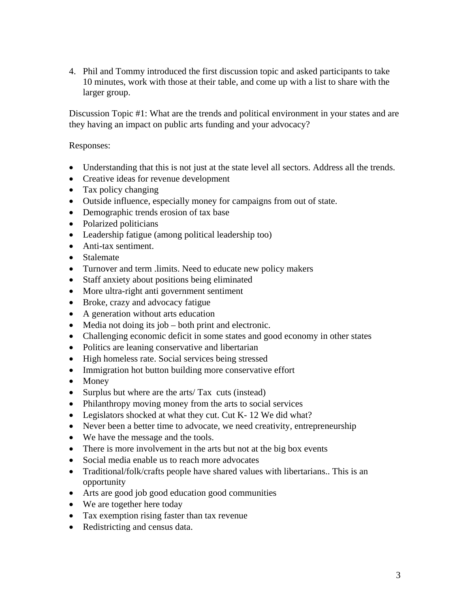4. Phil and Tommy introduced the first discussion topic and asked participants to take 10 minutes, work with those at their table, and come up with a list to share with the larger group.

Discussion Topic #1: What are the trends and political environment in your states and are they having an impact on public arts funding and your advocacy?

## Responses:

- Understanding that this is not just at the state level all sectors. Address all the trends.
- Creative ideas for revenue development
- Tax policy changing
- Outside influence, especially money for campaigns from out of state.
- Demographic trends erosion of tax base
- Polarized politicians
- Leadership fatigue (among political leadership too)
- Anti-tax sentiment.
- Stalemate
- Turnover and term .limits. Need to educate new policy makers
- Staff anxiety about positions being eliminated
- More ultra-right anti government sentiment
- Broke, crazy and advocacy fatigue
- A generation without arts education
- Media not doing its job both print and electronic.
- Challenging economic deficit in some states and good economy in other states
- Politics are leaning conservative and libertarian
- High homeless rate. Social services being stressed
- Immigration hot button building more conservative effort
- Money
- Surplus but where are the arts/ Tax cuts (instead)
- Philanthropy moving money from the arts to social services
- Legislators shocked at what they cut. Cut K-12 We did what?
- Never been a better time to advocate, we need creativity, entrepreneurship
- We have the message and the tools.
- There is more involvement in the arts but not at the big box events
- Social media enable us to reach more advocates
- Traditional/folk/crafts people have shared values with libertarians.. This is an opportunity
- Arts are good job good education good communities
- We are together here today
- Tax exemption rising faster than tax revenue
- Redistricting and census data.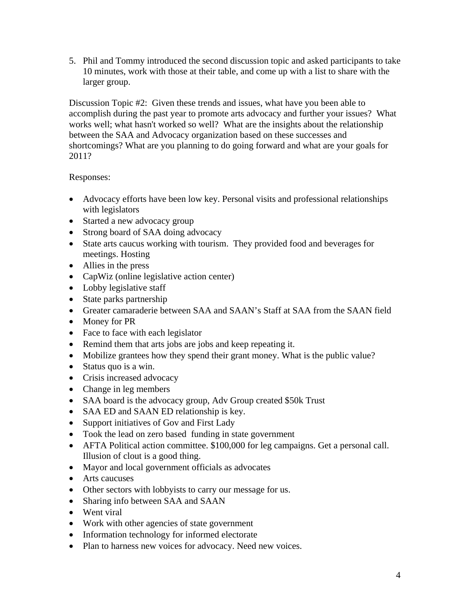5. Phil and Tommy introduced the second discussion topic and asked participants to take 10 minutes, work with those at their table, and come up with a list to share with the larger group.

Discussion Topic #2: Given these trends and issues, what have you been able to accomplish during the past year to promote arts advocacy and further your issues? What works well; what hasn't worked so well? What are the insights about the relationship between the SAA and Advocacy organization based on these successes and shortcomings? What are you planning to do going forward and what are your goals for 2011?

## Responses:

- Advocacy efforts have been low key. Personal visits and professional relationships with legislators
- Started a new advocacy group
- Strong board of SAA doing advocacy
- State arts caucus working with tourism. They provided food and beverages for meetings. Hosting
- Allies in the press
- CapWiz (online legislative action center)
- Lobby legislative staff
- State parks partnership
- Greater camaraderie between SAA and SAAN's Staff at SAA from the SAAN field
- Money for PR
- Face to face with each legislator
- Remind them that arts jobs are jobs and keep repeating it.
- Mobilize grantees how they spend their grant money. What is the public value?
- Status quo is a win.
- Crisis increased advocacy
- Change in leg members
- SAA board is the advocacy group, Adv Group created \$50k Trust
- SAA ED and SAAN ED relationship is key.
- Support initiatives of Gov and First Lady
- Took the lead on zero based funding in state government
- AFTA Political action committee. \$100,000 for leg campaigns. Get a personal call. Illusion of clout is a good thing.
- Mayor and local government officials as advocates
- Arts caucuses
- Other sectors with lobbyists to carry our message for us.
- Sharing info between SAA and SAAN
- Went viral
- Work with other agencies of state government
- Information technology for informed electorate
- Plan to harness new voices for advocacy. Need new voices.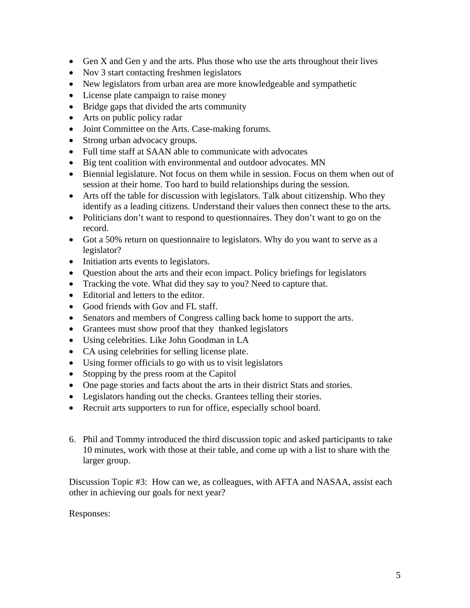- Gen X and Gen y and the arts. Plus those who use the arts throughout their lives
- Nov 3 start contacting freshmen legislators
- New legislators from urban area are more knowledgeable and sympathetic
- License plate campaign to raise money
- Bridge gaps that divided the arts community
- Arts on public policy radar
- Joint Committee on the Arts. Case-making forums.
- Strong urban advocacy groups.
- Full time staff at SAAN able to communicate with advocates
- Big tent coalition with environmental and outdoor advocates. MN
- Biennial legislature. Not focus on them while in session. Focus on them when out of session at their home. Too hard to build relationships during the session.
- Arts off the table for discussion with legislators. Talk about citizenship. Who they identify as a leading citizens. Understand their values then connect these to the arts.
- Politicians don't want to respond to questionnaires. They don't want to go on the record.
- Got a 50% return on questionnaire to legislators. Why do you want to serve as a legislator?
- Initiation arts events to legislators.
- Question about the arts and their econ impact. Policy briefings for legislators
- Tracking the vote. What did they say to you? Need to capture that.
- Editorial and letters to the editor.
- Good friends with Gov and FL staff.
- Senators and members of Congress calling back home to support the arts.
- Grantees must show proof that they thanked legislators
- Using celebrities. Like John Goodman in LA
- CA using celebrities for selling license plate.
- Using former officials to go with us to visit legislators
- Stopping by the press room at the Capitol
- One page stories and facts about the arts in their district Stats and stories.
- Legislators handing out the checks. Grantees telling their stories.
- Recruit arts supporters to run for office, especially school board.
- 6. Phil and Tommy introduced the third discussion topic and asked participants to take 10 minutes, work with those at their table, and come up with a list to share with the larger group.

Discussion Topic #3: How can we, as colleagues, with AFTA and NASAA, assist each other in achieving our goals for next year?

Responses: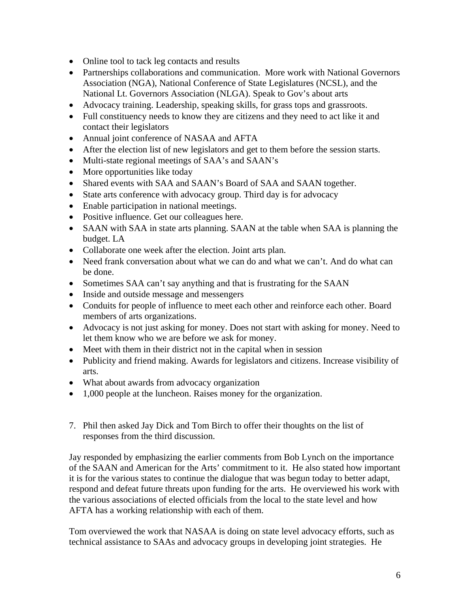- Online tool to tack leg contacts and results
- Partnerships collaborations and communication. More work with National Governors Association (NGA), National Conference of State Legislatures (NCSL), and the National Lt. Governors Association (NLGA). Speak to Gov's about arts
- Advocacy training. Leadership, speaking skills, for grass tops and grassroots.
- Full constituency needs to know they are citizens and they need to act like it and contact their legislators
- Annual joint conference of NASAA and AFTA
- After the election list of new legislators and get to them before the session starts.
- Multi-state regional meetings of SAA's and SAAN's
- More opportunities like today
- Shared events with SAA and SAAN's Board of SAA and SAAN together.
- State arts conference with advocacy group. Third day is for advocacy
- Enable participation in national meetings.
- Positive influence. Get our colleagues here.
- SAAN with SAA in state arts planning. SAAN at the table when SAA is planning the budget. LA
- Collaborate one week after the election. Joint arts plan.
- Need frank conversation about what we can do and what we can't. And do what can be done.
- Sometimes SAA can't say anything and that is frustrating for the SAAN
- Inside and outside message and messengers
- Conduits for people of influence to meet each other and reinforce each other. Board members of arts organizations.
- Advocacy is not just asking for money. Does not start with asking for money. Need to let them know who we are before we ask for money.
- Meet with them in their district not in the capital when in session
- Publicity and friend making. Awards for legislators and citizens. Increase visibility of arts.
- What about awards from advocacy organization
- 1,000 people at the luncheon. Raises money for the organization.
- 7. Phil then asked Jay Dick and Tom Birch to offer their thoughts on the list of responses from the third discussion.

Jay responded by emphasizing the earlier comments from Bob Lynch on the importance of the SAAN and American for the Arts' commitment to it. He also stated how important it is for the various states to continue the dialogue that was begun today to better adapt, respond and defeat future threats upon funding for the arts. He overviewed his work with the various associations of elected officials from the local to the state level and how AFTA has a working relationship with each of them.

Tom overviewed the work that NASAA is doing on state level advocacy efforts, such as technical assistance to SAAs and advocacy groups in developing joint strategies. He